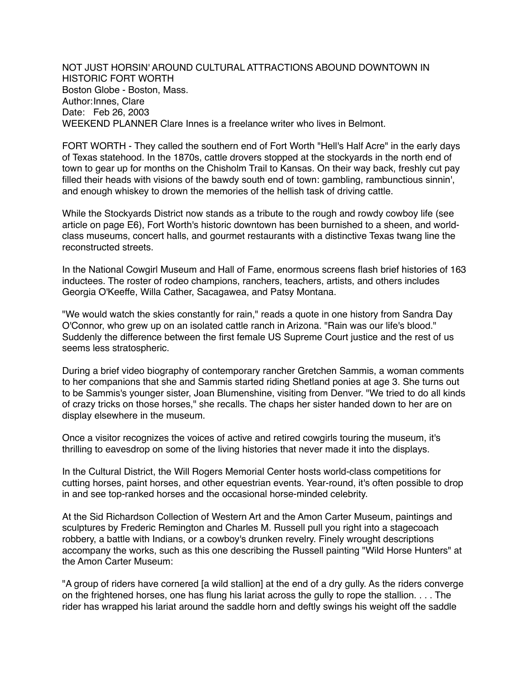NOT JUST HORSIN' AROUND CULTURAL ATTRACTIONS ABOUND DOWNTOWN IN HISTORIC FORT WORTH Boston Globe - Boston, Mass. Author:Innes, Clare Date: Feb 26, 2003 WEEKEND PLANNER Clare Innes is a freelance writer who lives in Belmont.

FORT WORTH - They called the southern end of Fort Worth "Hell's Half Acre" in the early days of Texas statehood. In the 1870s, cattle drovers stopped at the stockyards in the north end of town to gear up for months on the Chisholm Trail to Kansas. On their way back, freshly cut pay filled their heads with visions of the bawdy south end of town: gambling, rambunctious sinnin', and enough whiskey to drown the memories of the hellish task of driving cattle.

While the Stockyards District now stands as a tribute to the rough and rowdy cowboy life (see article on page E6), Fort Worth's historic downtown has been burnished to a sheen, and worldclass museums, concert halls, and gourmet restaurants with a distinctive Texas twang line the reconstructed streets.

In the National Cowgirl Museum and Hall of Fame, enormous screens flash brief histories of 163 inductees. The roster of rodeo champions, ranchers, teachers, artists, and others includes Georgia O'Keeffe, Willa Cather, Sacagawea, and Patsy Montana.

"We would watch the skies constantly for rain," reads a quote in one history from Sandra Day O'Connor, who grew up on an isolated cattle ranch in Arizona. "Rain was our life's blood." Suddenly the difference between the first female US Supreme Court justice and the rest of us seems less stratospheric.

During a brief video biography of contemporary rancher Gretchen Sammis, a woman comments to her companions that she and Sammis started riding Shetland ponies at age 3. She turns out to be Sammis's younger sister, Joan Blumenshine, visiting from Denver. "We tried to do all kinds of crazy tricks on those horses," she recalls. The chaps her sister handed down to her are on display elsewhere in the museum.

Once a visitor recognizes the voices of active and retired cowgirls touring the museum, it's thrilling to eavesdrop on some of the living histories that never made it into the displays.

In the Cultural District, the Will Rogers Memorial Center hosts world-class competitions for cutting horses, paint horses, and other equestrian events. Year-round, it's often possible to drop in and see top-ranked horses and the occasional horse-minded celebrity.

At the Sid Richardson Collection of Western Art and the Amon Carter Museum, paintings and sculptures by Frederic Remington and Charles M. Russell pull you right into a stagecoach robbery, a battle with Indians, or a cowboy's drunken revelry. Finely wrought descriptions accompany the works, such as this one describing the Russell painting "Wild Horse Hunters" at the Amon Carter Museum:

"A group of riders have cornered [a wild stallion] at the end of a dry gully. As the riders converge on the frightened horses, one has flung his lariat across the gully to rope the stallion. . . . The rider has wrapped his lariat around the saddle horn and deftly swings his weight off the saddle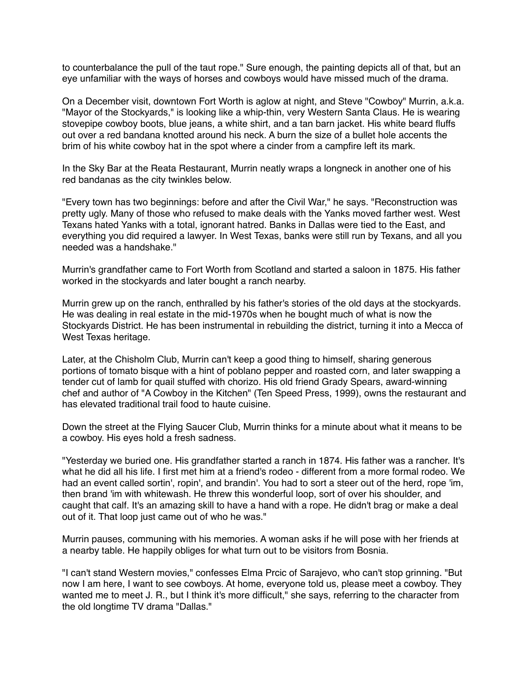to counterbalance the pull of the taut rope." Sure enough, the painting depicts all of that, but an eye unfamiliar with the ways of horses and cowboys would have missed much of the drama.

On a December visit, downtown Fort Worth is aglow at night, and Steve "Cowboy" Murrin, a.k.a. "Mayor of the Stockyards," is looking like a whip-thin, very Western Santa Claus. He is wearing stovepipe cowboy boots, blue jeans, a white shirt, and a tan barn jacket. His white beard fluffs out over a red bandana knotted around his neck. A burn the size of a bullet hole accents the brim of his white cowboy hat in the spot where a cinder from a campfire left its mark.

In the Sky Bar at the Reata Restaurant, Murrin neatly wraps a longneck in another one of his red bandanas as the city twinkles below.

"Every town has two beginnings: before and after the Civil War," he says. "Reconstruction was pretty ugly. Many of those who refused to make deals with the Yanks moved farther west. West Texans hated Yanks with a total, ignorant hatred. Banks in Dallas were tied to the East, and everything you did required a lawyer. In West Texas, banks were still run by Texans, and all you needed was a handshake."

Murrin's grandfather came to Fort Worth from Scotland and started a saloon in 1875. His father worked in the stockyards and later bought a ranch nearby.

Murrin grew up on the ranch, enthralled by his father's stories of the old days at the stockyards. He was dealing in real estate in the mid-1970s when he bought much of what is now the Stockyards District. He has been instrumental in rebuilding the district, turning it into a Mecca of West Texas heritage.

Later, at the Chisholm Club, Murrin can't keep a good thing to himself, sharing generous portions of tomato bisque with a hint of poblano pepper and roasted corn, and later swapping a tender cut of lamb for quail stuffed with chorizo. His old friend Grady Spears, award-winning chef and author of "A Cowboy in the Kitchen" (Ten Speed Press, 1999), owns the restaurant and has elevated traditional trail food to haute cuisine.

Down the street at the Flying Saucer Club, Murrin thinks for a minute about what it means to be a cowboy. His eyes hold a fresh sadness.

"Yesterday we buried one. His grandfather started a ranch in 1874. His father was a rancher. It's what he did all his life. I first met him at a friend's rodeo - different from a more formal rodeo. We had an event called sortin', ropin', and brandin'. You had to sort a steer out of the herd, rope 'im, then brand 'im with whitewash. He threw this wonderful loop, sort of over his shoulder, and caught that calf. It's an amazing skill to have a hand with a rope. He didn't brag or make a deal out of it. That loop just came out of who he was."

Murrin pauses, communing with his memories. A woman asks if he will pose with her friends at a nearby table. He happily obliges for what turn out to be visitors from Bosnia.

"I can't stand Western movies," confesses Elma Prcic of Sarajevo, who can't stop grinning. "But now I am here, I want to see cowboys. At home, everyone told us, please meet a cowboy. They wanted me to meet J. R., but I think it's more difficult," she says, referring to the character from the old longtime TV drama "Dallas."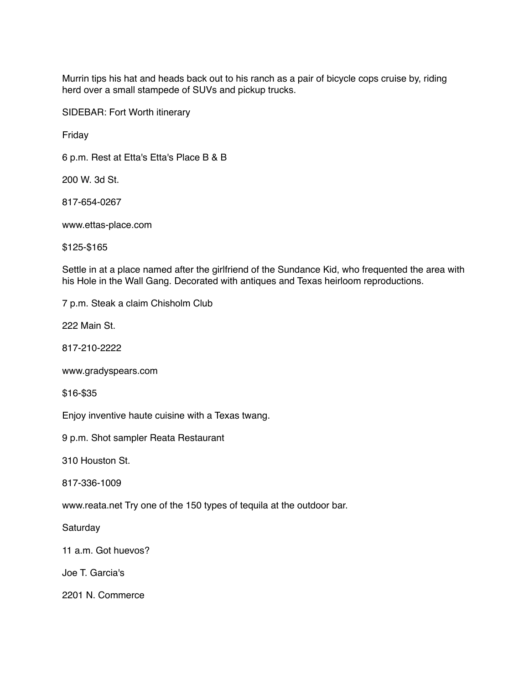Murrin tips his hat and heads back out to his ranch as a pair of bicycle cops cruise by, riding herd over a small stampede of SUVs and pickup trucks.

SIDEBAR: Fort Worth itinerary

Friday

6 p.m. Rest at Etta's Etta's Place B & B

200 W. 3d St.

817-654-0267

www.ettas-place.com

\$125-\$165

Settle in at a place named after the girlfriend of the Sundance Kid, who frequented the area with his Hole in the Wall Gang. Decorated with antiques and Texas heirloom reproductions.

7 p.m. Steak a claim Chisholm Club

222 Main St.

817-210-2222

www.gradyspears.com

\$16-\$35

Enjoy inventive haute cuisine with a Texas twang.

9 p.m. Shot sampler Reata Restaurant

310 Houston St.

817-336-1009

www.reata.net Try one of the 150 types of tequila at the outdoor bar.

**Saturday** 

11 a.m. Got huevos?

Joe T. Garcia's

2201 N. Commerce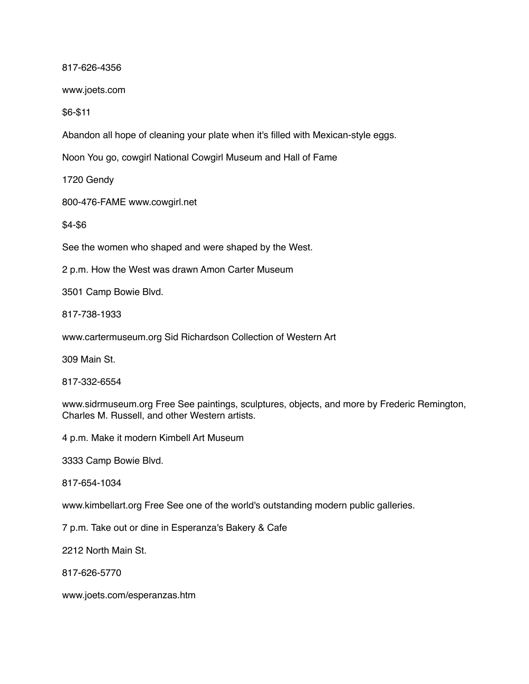817-626-4356

www.joets.com

\$6-\$11

Abandon all hope of cleaning your plate when it's filled with Mexican-style eggs.

Noon You go, cowgirl National Cowgirl Museum and Hall of Fame

1720 Gendy

800-476-FAME www.cowgirl.net

\$4-\$6

See the women who shaped and were shaped by the West.

2 p.m. How the West was drawn Amon Carter Museum

3501 Camp Bowie Blvd.

817-738-1933

www.cartermuseum.org Sid Richardson Collection of Western Art

309 Main St.

817-332-6554

www.sidrmuseum.org Free See paintings, sculptures, objects, and more by Frederic Remington, Charles M. Russell, and other Western artists.

4 p.m. Make it modern Kimbell Art Museum

3333 Camp Bowie Blvd.

817-654-1034

www.kimbellart.org Free See one of the world's outstanding modern public galleries.

7 p.m. Take out or dine in Esperanza's Bakery & Cafe

2212 North Main St.

817-626-5770

www.joets.com/esperanzas.htm